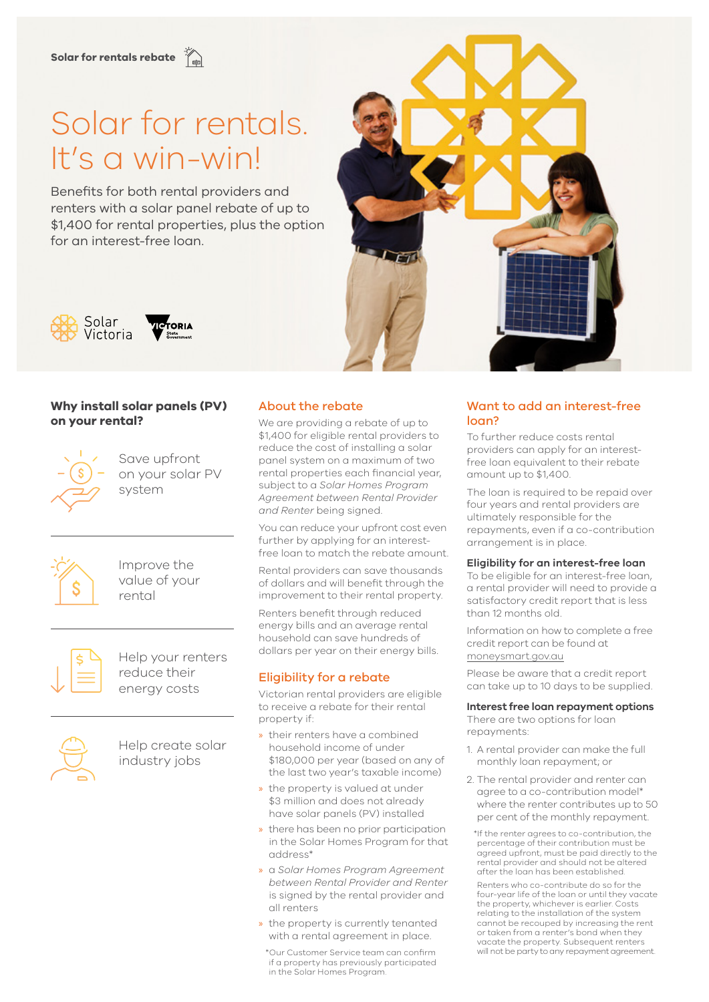# **Solar for rentals rebate**

# Solar for rentals. It's a win-win!

Benefits for both rental providers and renters with a solar panel rebate of up to \$1,400 for rental properties, plus the option for an interest-free loan.





# **Why install solar panels (PV) on your rental?**



Save upfront on your solar PV system



Improve the value of your rental



Help your renters reduce their energy costs



Help create solar industry jobs

#### About the rebate

We are providing a rebate of up to \$1,400 for eligible rental providers to reduce the cost of installing a solar panel system on a maximum of two rental properties each financial year, subject to a *Solar Homes Program Agreement between Rental Provider and Renter* being signed.

You can reduce your upfront cost even further by applying for an interestfree loan to match the rebate amount.

Rental providers can save thousands of dollars and will benefit through the improvement to their rental property.

Renters benefit through reduced energy bills and an average rental household can save hundreds of dollars per year on their energy bills.

# Eligibility for a rebate

Victorian rental providers are eligible to receive a rebate for their rental property if:

- » their renters have a combined household income of under \$180,000 per year (based on any of the last two year's taxable income)
- » the property is valued at under \$3 million and does not already have solar panels (PV) installed
- » there has been no prior participation in the Solar Homes Program for that address\*
- » a *Solar Homes Program Agreement between Rental Provider and Renter* is signed by the rental provider and all renters
- » the property is currently tenanted with a rental agreement in place.

\*Our Customer Service team can confirm if a property has previously participated in the Solar Homes Program.

# Want to add an interest-free loan?

To further reduce costs rental providers can apply for an interestfree loan equivalent to their rebate amount up to \$1,400.

The loan is required to be repaid over four years and rental providers are ultimately responsible for the repayments, even if a co-contribution arrangement is in place.

#### **Eligibility for an interest-free loan**

To be eligible for an interest-free loan, a rental provider will need to provide a satisfactory credit report that is less than 12 months old.

Information on how to complete a free credit report can be found at [moneysmart.gov.au](http://moneysmart.gov.au)

Please be aware that a credit report can take up to 10 days to be supplied.

#### **Interest free loan repayment options**

There are two options for loan repayments:

- 1. A rental provider can make the full monthly loan repayment; or
- 2. The rental provider and renter can agree to a co-contribution model\* where the renter contributes up to 50 per cent of the monthly repayment.

\*If the renter agrees to co-contribution, the percentage of their contribution must be agreed upfront, must be paid directly to the rental provider and should not be altered after the loan has been established.

Renters who co-contribute do so for the four-year life of the loan or until they vacate the property, whichever is earlier. Costs relating to the installation of the system cannot be recouped by increasing the rent or taken from a renter's bond when they vacate the property. Subsequent renters will not be party to any repayment agreement.